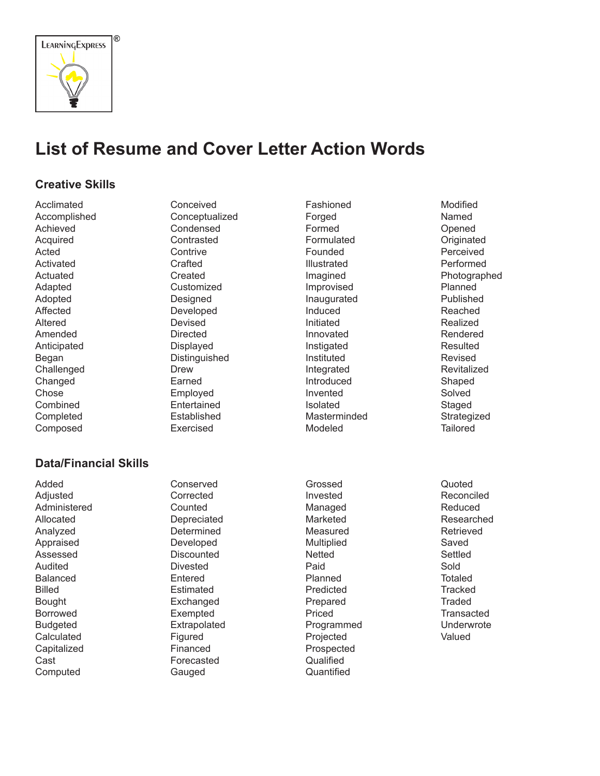

# **List of Resume and Cover Letter Action Words**

# **Creative Skills**

Acclimated Accomplished Achieved Acquired Acted Activated Actuated Adapted Adopted Affected Altered Amended Anticipated Began Challenged Changed Chose Combined **Completed** Composed

#### Conceived Conceptualized Condensed **Contrasted Contrive Crafted** Created **Customized** Designed Developed Devised Directed Displayed Distinguished Drew Earned Employed Entertained Established

Exercised

### **Data/Financial Skills**

Added Adjusted Administered Allocated Analyzed Appraised Assessed Audited Balanced Billed Bought Borrowed Budgeted Calculated **Capitalized** Cast Computed

Conserved Corrected **Counted** Depreciated **Determined** Developed **Discounted** Divested Entered Estimated Exchanged Exempted Extrapolated Figured Financed Forecasted Gauged

Fashioned Forged Formed Formulated Founded Illustrated Imagined Improvised Inaugurated Induced Initiated Innovated Instigated Instituted Integrated Introduced Invented Isolated Masterminded Modeled

Grossed Invested Managed Marketed Measured Multiplied **Netted** Paid Planned Predicted Prepared Priced Programmed Projected Prospected Qualified **Quantified** 

Named Opened **Originated** Perceived Performed Photographed Planned Published Reached Realized Rendered **Resulted** Revised **Revitalized** Shaped Solved Staged **Strategized Tailored** 

Modified

Quoted Reconciled Reduced Researched Retrieved Saved Settled Sold Totaled **Tracked Traded Transacted** Underwrote Valued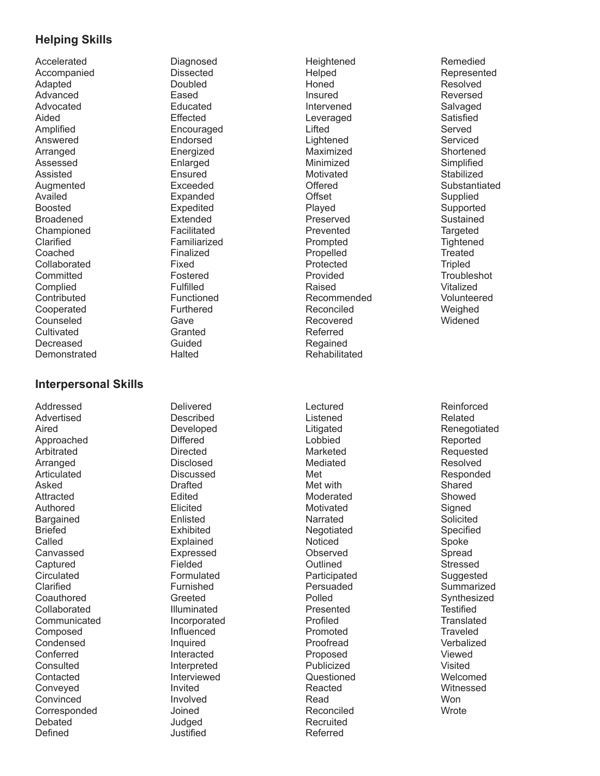# **Helping Skills**

Accelerated Accompanied Adapted Advanced Advocated Aided Amplified Answered Arranged Assessed Assisted **Augmented** Availed Boosted Broadened Championed Clarified Coached Collaborated **Committed** Complied **Contributed** Cooperated Counseled **Cultivated** Decreased **Demonstrated**  Diagnosed Dissected Doubled Eased Educated **Effected** Encouraged Endorsed Energized Enlarged Ensured Exceeded Expanded Expedited Extended Facilitated Familiarized Finalized Fixed Fostered Fulfilled Functioned Furthered **Gave Granted** Guided **Halted** 

# **Interpersonal Skills**

Addressed Advertised Aired Approached Arbitrated Arranged Articulated Asked **Attracted** Authored Bargained Briefed Called Canvassed **Captured Circulated** Clarified **Coauthored** Collaborated **Communicated** Composed Condensed Conferred Consulted **Contacted** Conveyed Convinced **Corresponded** Debated Defined

Delivered Described Developed **Differed Directed** Disclosed Discussed **Drafted** Edited Elicited Enlisted Exhibited **Explained** Expressed Fielded Formulated Furnished Greeted Illuminated Incorporated Influenced Inquired Interacted Interpreted Interviewed Invited Involved Joined Judged Justified

**Heightened** Helped Honed Insured Intervened Leveraged Lifted Lightened Maximized Minimized Motivated **Offered Offset** Played Preserved Prevented Prompted Propelled Protected Provided Raised Recommended Reconciled Recovered Referred Regained **Rehabilitated** 

Listened Litigated **Lobbied** Marketed Mediated Met Met with Moderated Motivated Narrated **Negotiated** Noticed Observed **Outlined** Participated Persuaded Polled Presented Profiled Promoted Proofread Proposed Publicized Questioned Reacted Read Reconciled Recruited Referred

Lectured

Remedied Represented Resolved Reversed Salvaged **Satisfied** Served Serviced **Shortened Simplified Stabilized** Substantiated **Supplied** Supported Sustained **Targeted Tightened Treated Tripled Troubleshot** Vitalized Volunteered Weighed Widened

Reinforced Related Renegotiated Reported Requested Resolved Responded **Shared** Showed **Signed** Solicited Specified Spoke Spread Stressed Suggested **Summarized** Synthesized **Testified Translated Traveled** Verbalized Viewed Visited Welcomed Witnessed Won **Wrote**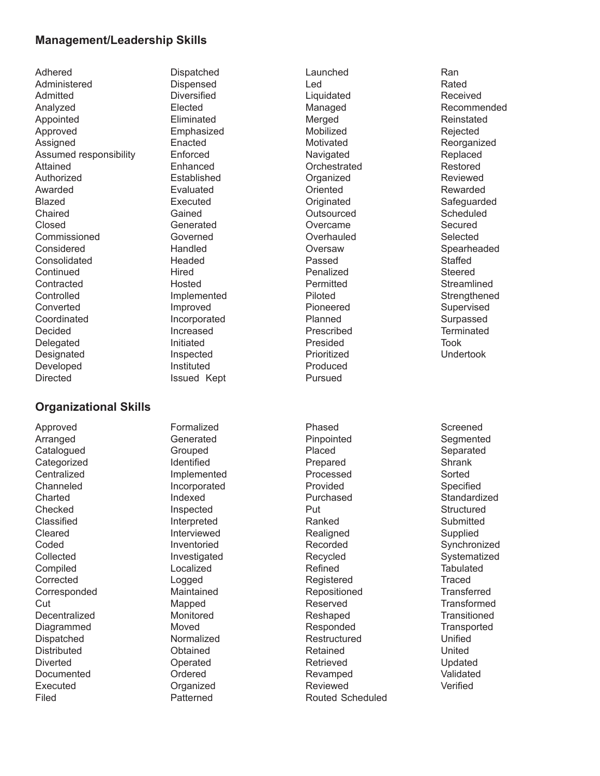#### **Management/Leadership Skills**

Adhered Administered Admitted Analyzed Appointed Approved **Assigned** Assumed responsibility Attained Authorized Awarded Blazed Chaired Closed Commissioned Considered Consolidated **Continued Contracted Controlled** Converted Coordinated Decided Delegated Designated Developed Directed

**Organizational Skills**

Dispatched Dispensed **Diversified** Elected Eliminated Emphasized Enacted Enforced Enhanced Established Evaluated Executed Gained Generated Governed Handled Headed **Hired** Hosted Implemented Improved Incorporated Increased Initiated Inspected Instituted Issued Kept

Launched Led **Liquidated** Managed Merged Mobilized Motivated Navigated **Orchestrated Organized Oriented Originated Outsourced** Overcame **Overhauled** Oversaw Passed Penalized **Permitted** Piloted Pioneered Planned Prescribed Presided Prioritized Produced Pursued

Pinpointed Placed Prepared Processed Provided Purchased Put Ranked **Realigned** Recorded Recycled Refined Registered Repositioned Reserved Reshaped Responded Restructured Retained Retrieved Revamped Reviewed Routed Scheduled

Phased

Ran Rated Received Recommended Reinstated Rejected Reorganized Replaced Restored Reviewed Rewarded **Safeguarded Scheduled Secured** Selected Spearheaded **Staffed Steered Streamlined Strengthened** Supervised Surpassed **Terminated** Took Undertook Screened **Segmented Separated Shrank** Sorted Specified **Standardized Structured Submitted** Supplied Synchronized **Systematized Tabulated Traced Transferred Transformed Transitioned Transported** Unified United Updated

Validated Verified

Approved Arranged **Catalogued Categorized Centralized** Channeled **Charted** Checked Classified Cleared Coded **Collected** Compiled Corrected Corresponded Cut Decentralized Diagrammed Dispatched **Distributed Diverted** Documented Executed Filed

Formalized Generated Grouped Identified Implemented Incorporated Indexed Inspected Interpreted Interviewed Inventoried Investigated Localized Logged Maintained Mapped Monitored Moved Normalized **Obtained** Operated Ordered **Organized** Patterned